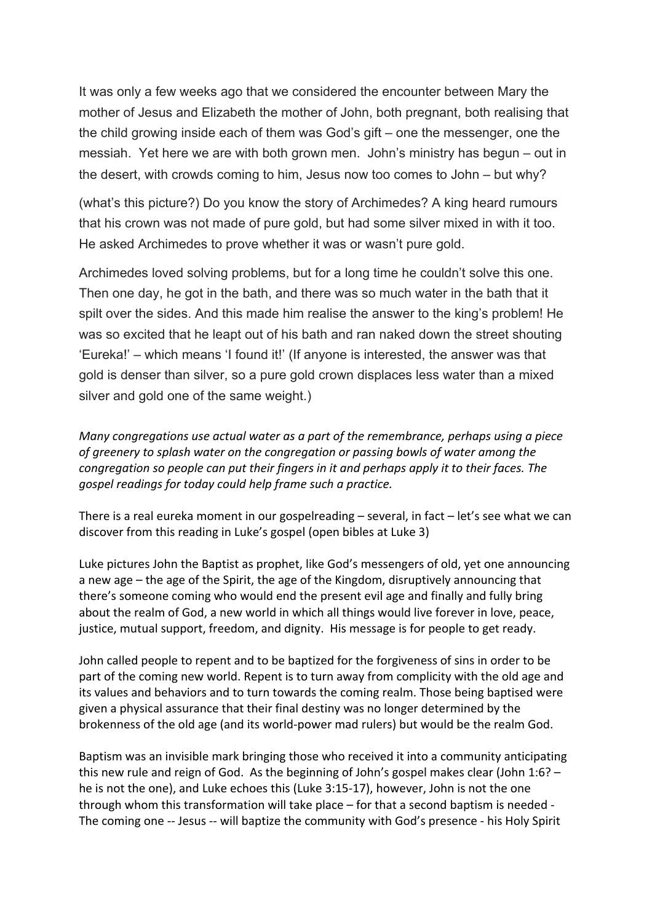It was only a few weeks ago that we considered the encounter between Mary the mother of Jesus and Elizabeth the mother of John, both pregnant, both realising that the child growing inside each of them was God's gift – one the messenger, one the messiah. Yet here we are with both grown men. John's ministry has begun – out in the desert, with crowds coming to him, Jesus now too comes to John – but why?

(what's this picture?) Do you know the story of Archimedes? A king heard rumours that his crown was not made of pure gold, but had some silver mixed in with it too. He asked Archimedes to prove whether it was or wasn't pure gold.

Archimedes loved solving problems, but for a long time he couldn't solve this one. Then one day, he got in the bath, and there was so much water in the bath that it spilt over the sides. And this made him realise the answer to the king's problem! He was so excited that he leapt out of his bath and ran naked down the street shouting 'Eureka!' – which means 'I found it!' (If anyone is interested, the answer was that gold is denser than silver, so a pure gold crown displaces less water than a mixed silver and gold one of the same weight.)

*Many congregations use actual water as a part of the remembrance, perhaps using a piece of greenery to splash water on the congregation or passing bowls of water among the congregation so people can put their fingers in it and perhaps apply it to their faces. The gospel readings for today could help frame such a practice.*

There is a real eureka moment in our gospelreading – several, in fact – let's see what we can discover from this reading in Luke's gospel (open bibles at Luke 3)

Luke pictures John the Baptist as prophet, like God's messengers of old, yet one announcing a new age – the age of the Spirit, the age of the Kingdom, disruptively announcing that there's someone coming who would end the present evil age and finally and fully bring about the realm of God, a new world in which all things would live forever in love, peace, justice, mutual support, freedom, and dignity. His message is for people to get ready.

John called people to repent and to be baptized for the forgiveness of sins in order to be part of the coming new world. Repent is to turn away from complicity with the old age and its values and behaviors and to turn towards the coming realm. Those being baptised were given a physical assurance that their final destiny was no longer determined by the brokenness of the old age (and its world-power mad rulers) but would be the realm God.

Baptism was an invisible mark bringing those who received it into a community anticipating this new rule and reign of God. As the beginning of John's gospel makes clear (John 1:6? – he is not the one), and Luke echoes this (Luke 3:15-17), however, John is not the one through whom this transformation will take place – for that a second baptism is needed - The coming one -- Jesus -- will baptize the community with God's presence - his Holy Spirit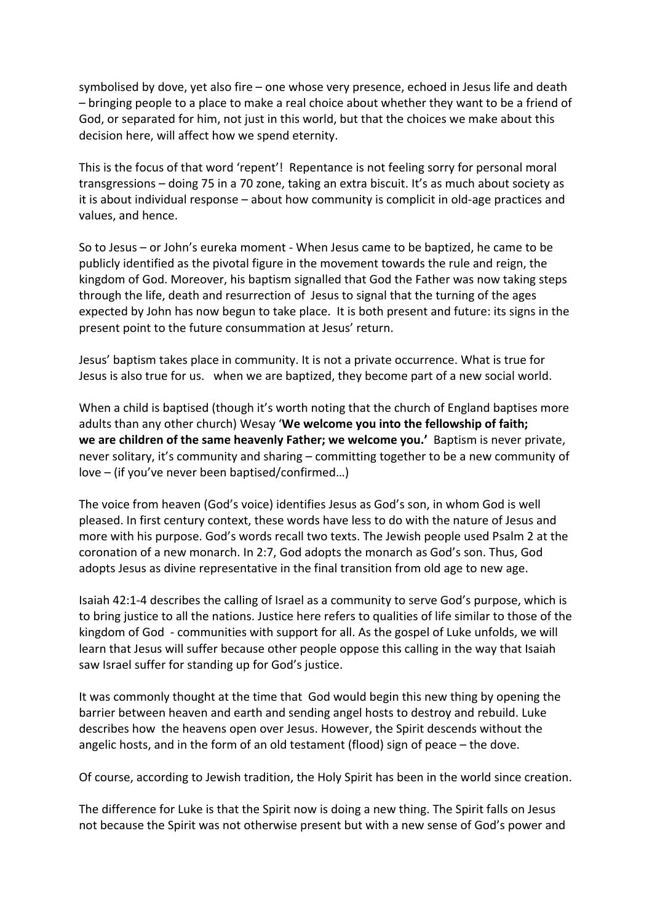symbolised by dove, yet also fire – one whose very presence, echoed in Jesus life and death – bringing people to a place to make a real choice about whether they want to be a friend of God, or separated for him, not just in this world, but that the choices we make about this decision here, will affect how we spend eternity.

This is the focus of that word 'repent'! Repentance is not feeling sorry for personal moral transgressions – doing 75 in a 70 zone, taking an extra biscuit. It's as much about society as it is about individual response – about how community is complicit in old-age practices and values, and hence.

So to Jesus – or John's eureka moment - When Jesus came to be baptized, he came to be publicly identified as the pivotal figure in the movement towards the rule and reign, the kingdom of God. Moreover, his baptism signalled that God the Father was now taking steps through the life, death and resurrection of Jesus to signal that the turning of the ages expected by John has now begun to take place. It is both present and future: its signs in the present point to the future consummation at Jesus' return.

Jesus' baptism takes place in community. It is not a private occurrence. What is true for Jesus is also true for us. when we are baptized, they become part of a new social world.

When a child is baptised (though it's worth noting that the church of England baptises more adults than any other church) Wesay '**We welcome you into the fellowship of faith; we are children of the same heavenly Father; we welcome you.'** Baptism is never private, never solitary, it's community and sharing – committing together to be a new community of love – (if you've never been baptised/confirmed…)

The voice from heaven (God's voice) identifies Jesus as God's son, in whom God is well pleased. In first century context, these words have less to do with the nature of Jesus and more with his purpose. God's words recall two texts. The Jewish people used Psalm 2 at the coronation of a new monarch. In 2:7, God adopts the monarch as God's son. Thus, God adopts Jesus as divine representative in the final transition from old age to new age.

Isaiah 42:1-4 describes the calling of Israel as a community to serve God's purpose, which is to bring justice to all the nations. Justice here refers to qualities of life similar to those of the kingdom of God - communities with support for all. As the gospel of Luke unfolds, we will learn that Jesus will suffer because other people oppose this calling in the way that Isaiah saw Israel suffer for standing up for God's justice.

It was commonly thought at the time that God would begin this new thing by opening the barrier between heaven and earth and sending angel hosts to destroy and rebuild. Luke describes how the heavens open over Jesus. However, the Spirit descends without the angelic hosts, and in the form of an old testament (flood) sign of peace – the dove.

Of course, according to Jewish tradition, the Holy Spirit has been in the world since creation.

The difference for Luke is that the Spirit now is doing a new thing. The Spirit falls on Jesus not because the Spirit was not otherwise present but with a new sense of God's power and